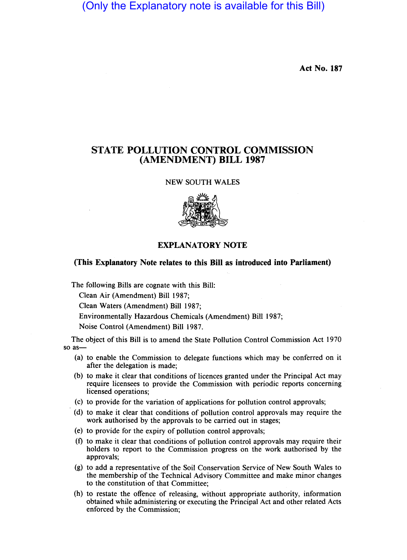(Only the Explanatory note is available for this Bill)

Act No. 187

## STATE POLLUTION CONTROL COMMISSION (AMENDMENT) BILL 1987

NEW SOUTH WALES



## EXPLANATORY NOTE

## (This Explanatory Note relates to this Bill as introduced into Parliament)

The following Bills are cognate with this Bill:

Clean Air (Amendment) Bill 1987;

Clean Waters (Amendment) Bill 1987;

Environmentally Hazardous Chemicals (Amendment) Bill 1987;

Noise Control (Amendment) Bill 1987.

The object of this Bill is to amend the State Pollution Control Commission Act 1970 so as-

- (a) to enable the Commission to delegate functions which may be conferred on it after the delegation is made;
- (b) to make it clear that conditions of licences granted under the Principal Act may require licensees to provide the Commission with periodic reports concerning licensed operations;
- (c) to provide for the variation of applications for pollution control approvals;
- . (d) to make it clear that conditions of pollution control approvals may require the work authorised by the approvals to be carried out in stages;
- (e) to provide for the expiry of pollution control approvals;
- (f) to make it clear that conditions of pollution control approvals may require their holders to report to the Commission progress on the work authorised by the approvals;
- (g) to add a representative of the Soil Conservation Service of New South Wales to the membership of the Technical Advisory Committee and make minor changes to the constitution of that Committee;
- (h) to restate the offence of releasing, without appropriate authority, information obtained while administering or executing the Principal Act and other related Acts enforced by the Commission;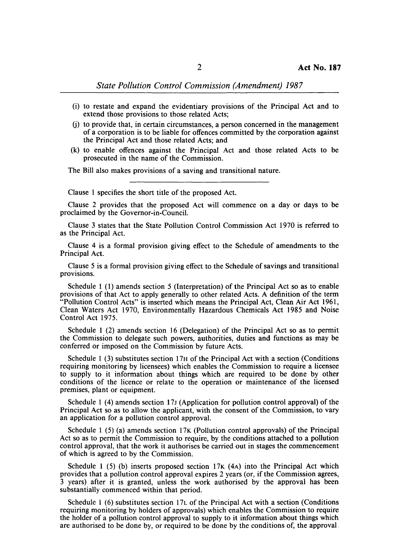## *State Pollution Control Commission (Amendment) 1987*

- (i) to restate and expand the evidentiary provisions of the Principal Act and to extend those provisions to those related Acts;
- (j) to provide that, in certain circumstances, a person concerned in the management of a corporation is to be liable for offences committed by the corporation against the Principal Act and those related Acts; and
- (k) to enable offences against the Principal Act and those related Acts to be prosecuted in the name of the Commission.

The Bill also makes provisions of a saving and transitional nature.

Clause 1 specifies the short title of the proposed Act.

Clause 2 provides that the proposed Act will commence on a day or days to be proclaimed by the Governor-in-Council.

Clause 3 states that the State Pollution Control Commission Act 1970 is referred to as the Principal Act.

Clause 4 is a formal provision giving effect to the Schedule of amendments to the Principal Act.

Clause 5 is a formal provision giving effect to the Schedule of savings and transitional provisions.

Schedule 1 (I) amends section 5 (Interpretation) of the Principal Act so as to enable provisions of that Act to apply generally to other related Acts. A definition of the term "Pollution Control Acts" is inserted which means the Principal Act, Clean Air Act 1961, Clean Waters Act 1970, Environmentally Hazardous Chemicals Act 1985 and Noise Control Act 1975.

Schedule 1 (2) amends section 16 (Delegation) of the Principal Act so as to permit the Commission to delegate such powers, authorities, duties and functions as may be conferred or imposed on the Commission by future Acts.

Schedule 1 (3) substitutes section 17H of the Principal Act with a section (Conditions requiring monitoring by licensees) which enables the Commission to require a licensee to supply to it information about things which are required to be done by other conditions of the licence or relate to the operation or maintenance of the licensed premises, plant or equipment.

Schedule 1 (4) amends section 17J (Application for pollution control approval) of the Principal Act so as to allow the applicant, with the consent of the Commission, to vary an application for a pollution control approval.

Schedule 1 (5) (a) amends section 17K (Pollution control approvals) of the Principal Act so as to permit the Commission to require, by the conditions attached to a pollution control approval, that the work it authorises be carried out in stages the commencement of which is agreed to by the Commission.

Schedule 1 (5) (b) inserts proposed section  $17K$  (4A) into the Principal Act which provides that a pollution control approval expires 2 years (or, if the Commission agrees, 3 years) after it is granted, unless the work authorised by the approval has been substantially commenced within that period.

Schedule 1 (6) substitutes section 17L of the Principal Act with a section (Conditions requiring monitoring by holders of approvals) which enables the Commission to require the holder of a pollution control approval to supply to it information about things which are authorised to be done by, or required to be done by the conditions of, the approval.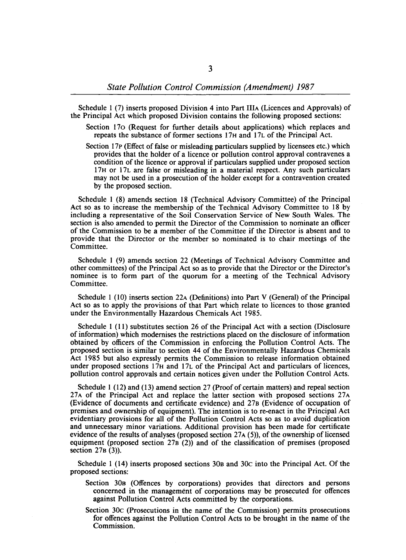Schedule 1 (7) inserts proposed Division 4 into Part IlIA (Licences and Approvals) of the Principal Act which proposed Division contains the following proposed sections:

- Section 170 (Request for further details about applications) which replaces and repeats the substance of former sections 17H and 17L of the Principal Act.
- Section 17p (Effect of false or misleading particulars supplied by licensees etc.) which provides that the holder of a licence or pollution control approval contravenes a condition of the licence or approval if particulars supplied under proposed section 17H or 17L are false or misleading in a material respect. Any such particulars may not be used in a prosecution of the holder except for a contravention created by the proposed section.

Schedule 1 (8) amends section 18 (Technical Advisory Committee) of the Principal Act so as to increase the membership of the Technical Advisory Committee to 18 by including a representative of the Soil Conservation Service of New South Wales. The section is also amended to permit the Director of the Commission to nominate an officer of the Commission to be a member of the Committee if the Director is absent and to provide that the Director or the member so nominated is to chair meetings of the Committee.

Schedule 1 (9) amends section 22 (Meetings of Technical Advisory Committee and other committees) of the Principal Act so as to provide 'that the Director or the Director's nominee is to form part of the quorum for a meeting of the Technical Advisory Committee.

Schedule 1 (10) inserts section 22A (Definitions) into Part V (General) of the Principal Act so as to apply the provisions of that Part which relate to licences to those granted under the Environmentally Hazardous Chemicals Act 1985.

Schedule 1 (11) substitutes section 26 of the Principal Act with a section (Disclosure of information) which modernises the restrictions placed on the disclosure of information obtained by officers of the Commission in enforcing the Pollution Control Acts. The proposed section is similar to section 44 of the Environmentally Hazardous Chemicals Act 1985 but also expressly permits the Commission to release information obtained under proposed sections 17H and 17L of the Principal Act and particulars of licences, pollution control approvals and certain notices given under the Pollution Control Acts.

Schedule 1 (12) and (13) amend section 27 (Proof of certain matters) and repeal section 27A of the Principal Act and replace the latter section with proposed sections 27A (Evidence of documents and certificate evidence) and 27B (Evidence of occupation of premises and ownership of equipment). The intention is to re-enact in the Principal Act evidentiary provisions for all of the Pollution Control Acts so as to avoid duplication and unnecessary minor variations. Additional provision has been made for certificate evidence of the results of analyses (proposed section  $27A(5)$ ), of the ownership of licensed equipment (proposed section  $27B(2)$ ) and of the classification of premises (proposed section  $27B(3)$ ).

Schedule 1 (14) inserts proposed sections 30B and 30c into the Principal Act. Of the proposed sections:

- Section 30B (Offences by corporations) provides that directors and persons concerned in the management of corporations may be prosecuted for offences against Pollution Control Acts committed by the corporations.
- Section 30c (Prosecutions in the name of the Commission) permits prosecutions for offences against the Pollution Control Acts to be brought in the name of the Commission.